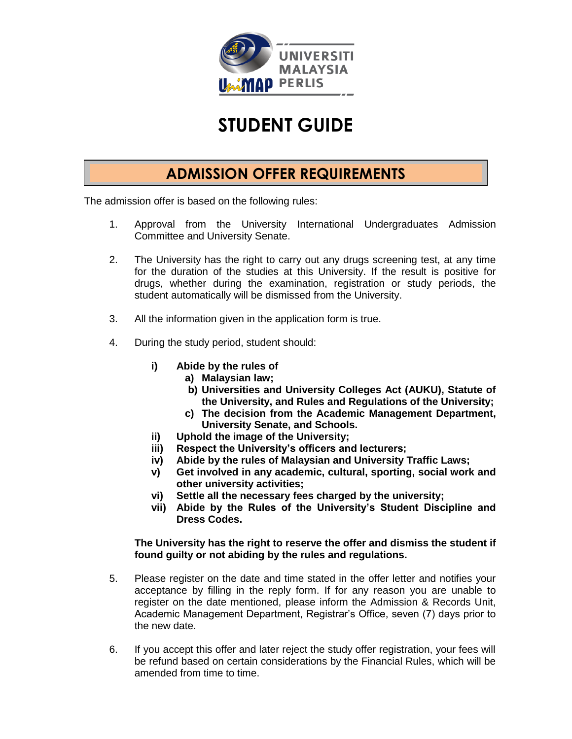

# **STUDENT GUIDE**

# **ADMISSION OFFER REQUIREMENTS**

The admission offer is based on the following rules:

- 1. Approval from the University International Undergraduates Admission Committee and University Senate.
- 2. The University has the right to carry out any drugs screening test, at any time for the duration of the studies at this University. If the result is positive for drugs, whether during the examination, registration or study periods, the student automatically will be dismissed from the University.
- 3. All the information given in the application form is true.
- 4. During the study period, student should:
	- **i) Abide by the rules of**
		- **a) Malaysian law;**
			- **b) Universities and University Colleges Act (AUKU), Statute of the University, and Rules and Regulations of the University;**
		- **c) The decision from the Academic Management Department, University Senate, and Schools.**
	- **ii) Uphold the image of the University;**
	- **iii) Respect the University's officers and lecturers;**
	- **iv) Abide by the rules of Malaysian and University Traffic Laws;**
	- **v) Get involved in any academic, cultural, sporting, social work and other university activities;**
	- **vi) Settle all the necessary fees charged by the university;**
	- **vii) Abide by the Rules of the University's Student Discipline and Dress Codes.**

### **The University has the right to reserve the offer and dismiss the student if found guilty or not abiding by the rules and regulations.**

- 5. Please register on the date and time stated in the offer letter and notifies your acceptance by filling in the reply form. If for any reason you are unable to register on the date mentioned, please inform the Admission & Records Unit, Academic Management Department, Registrar's Office, seven (7) days prior to the new date.
- 6. If you accept this offer and later reject the study offer registration, your fees will be refund based on certain considerations by the Financial Rules, which will be amended from time to time.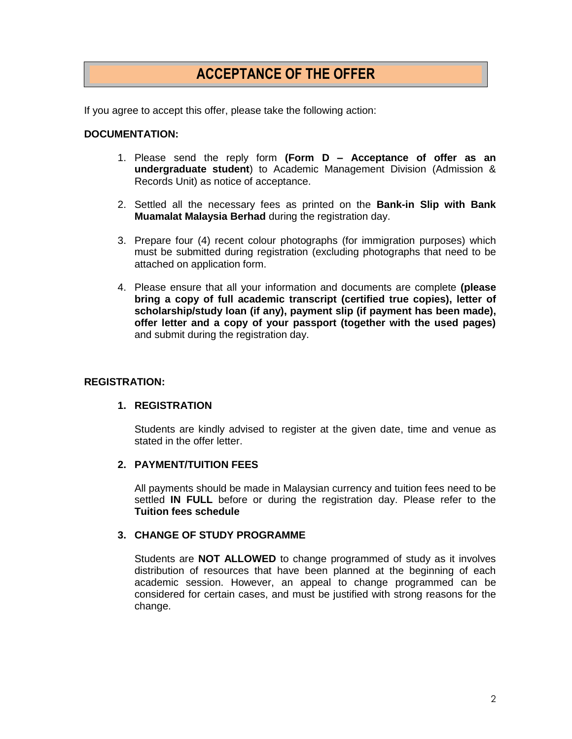# **ACCEPTANCE OF THE OFFER**

If you agree to accept this offer, please take the following action:

### **DOCUMENTATION:**

- 1. Please send the reply form **(Form D – Acceptance of offer as an undergraduate student**) to Academic Management Division (Admission & Records Unit) as notice of acceptance.
- 2. Settled all the necessary fees as printed on the **Bank-in Slip with Bank Muamalat Malaysia Berhad** during the registration day.
- 3. Prepare four (4) recent colour photographs (for immigration purposes) which must be submitted during registration (excluding photographs that need to be attached on application form.
- 4. Please ensure that all your information and documents are complete **(please bring a copy of full academic transcript (certified true copies), letter of scholarship/study loan (if any), payment slip (if payment has been made), offer letter and a copy of your passport (together with the used pages)**  and submit during the registration day.

# **REGISTRATION:**

### **1. REGISTRATION**

Students are kindly advised to register at the given date, time and venue as stated in the offer letter.

#### **2. PAYMENT/TUITION FEES**

All payments should be made in Malaysian currency and tuition fees need to be settled **IN FULL** before or during the registration day. Please refer to the **Tuition fees schedule** 

#### **3. CHANGE OF STUDY PROGRAMME**

Students are **NOT ALLOWED** to change programmed of study as it involves distribution of resources that have been planned at the beginning of each academic session. However, an appeal to change programmed can be considered for certain cases, and must be justified with strong reasons for the change.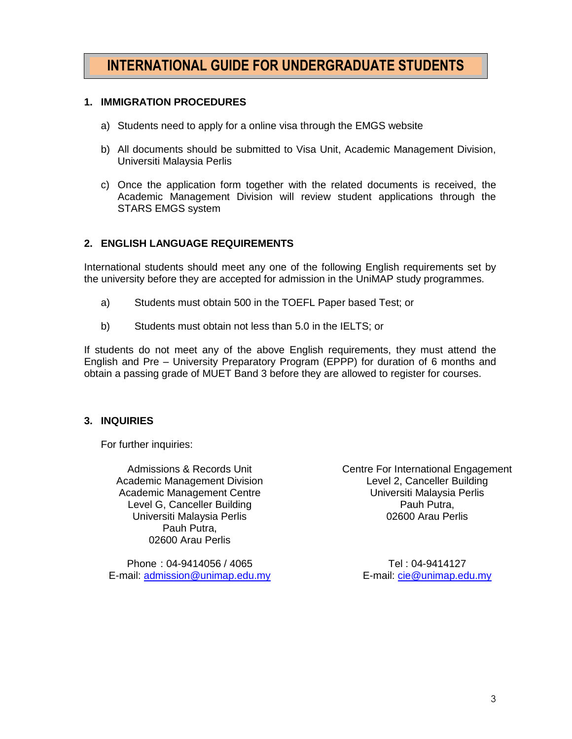# **INTERNATIONAL GUIDE FOR UNDERGRADUATE STUDENTS**

# **1. IMMIGRATION PROCEDURES**

- a) Students need to apply for a online visa through the EMGS website
- b) All documents should be submitted to Visa Unit, Academic Management Division, Universiti Malaysia Perlis
- c) Once the application form together with the related documents is received, the Academic Management Division will review student applications through the STARS EMGS system

# **2. ENGLISH LANGUAGE REQUIREMENTS**

International students should meet any one of the following English requirements set by the university before they are accepted for admission in the UniMAP study programmes.

- a) Students must obtain 500 in the TOEFL Paper based Test; or
- b) Students must obtain not less than 5.0 in the IELTS; or

If students do not meet any of the above English requirements, they must attend the English and Pre – University Preparatory Program (EPPP) for duration of 6 months and obtain a passing grade of MUET Band 3 before they are allowed to register for courses.

# **3. INQUIRIES**

For further inquiries:

Admissions & Records Unit Academic Management Division Academic Management Centre Level G, Canceller Building Universiti Malaysia Perlis Pauh Putra, 02600 Arau Perlis

Phone : 04-9414056 / 4065 E-mail: [admission@unimap.edu.my](mailto:kemasukan@unimap.edu.my) Centre For International Engagement Level 2, Canceller Building Universiti Malaysia Perlis Pauh Putra, 02600 Arau Perlis

> Tel : 04-9414127 E-mail: [cie@unimap.edu.my](mailto:cie@unimap.edu.my)